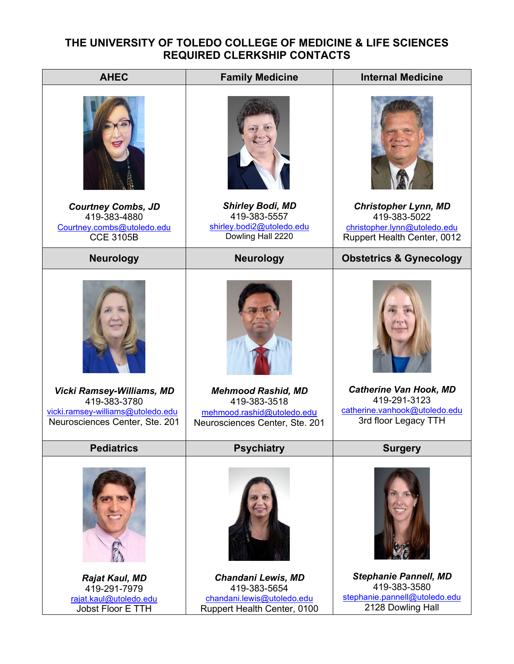## **THE UNIVERSITY OF TOLEDO COLLEGE OF MEDICINE & LIFE SCIENCES REQUIRED CLERKSHIP CONTACTS**

| <b>AHEC</b>                                                                           | <b>Family Medicine</b>                                                                          | <b>Internal Medicine</b>                                                                           |  |
|---------------------------------------------------------------------------------------|-------------------------------------------------------------------------------------------------|----------------------------------------------------------------------------------------------------|--|
|                                                                                       |                                                                                                 |                                                                                                    |  |
| <b>Courtney Combs, JD</b><br>419-383-4880<br>Courtney.combs@utoledo.edu               | <b>Shirley Bodi, MD</b><br>419-383-5557<br>shirley.bodi2@utoledo.edu<br>Dowling Hall 2220       | <b>Christopher Lynn, MD</b><br>419-383-5022<br>christopher.lynn@utoledo.edu                        |  |
| <b>CCE 3105B</b>                                                                      |                                                                                                 | Ruppert Health Center, 0012                                                                        |  |
| <b>Neurology</b>                                                                      | <b>Neurology</b>                                                                                | <b>Obstetrics &amp; Gynecology</b>                                                                 |  |
| <b>Vicki Ramsey-Williams, MD</b><br>419-383-3780<br>vicki.ramsey-williams@utoledo.edu | <b>Mehmood Rashid, MD</b><br>419-383-3518<br>mehmood.rashid@utoledo.edu                         | <b>Catherine Van Hook, MD</b><br>419-291-3123<br>catherine.vanhook@utoledo.edu                     |  |
| Neurosciences Center, Ste. 201                                                        | Neurosciences Center, Ste. 201                                                                  | 3rd floor Legacy TTH                                                                               |  |
| <b>Pediatrics</b>                                                                     | <b>Psychiatry</b>                                                                               | <b>Surgery</b>                                                                                     |  |
|                                                                                       |                                                                                                 |                                                                                                    |  |
| Rajat Kaul, MD<br>419-291-7979<br>rajat.kaul@utoledo.edu<br>Jobst Floor E TTH         | Chandani Lewis, MD<br>419-383-5654<br>chandani.lewis@utoledo.edu<br>Ruppert Health Center, 0100 | <b>Stephanie Pannell, MD</b><br>419-383-3580<br>stephanie.pannell@utoledo.edu<br>2128 Dowling Hall |  |